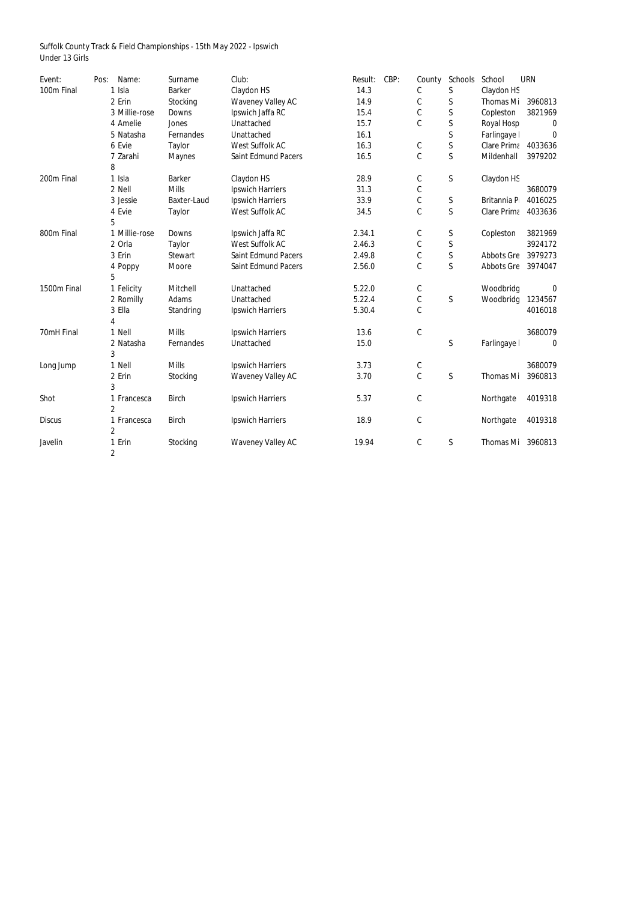Suffolk County Track & Field Championships - 15th May 2022 - Ipswich Under 13 Girls

| Event:        | Pos: | Name:          | Surname            | Club:                      | Result: | CBP: | County        | Schools      | School              | <b>URN</b>       |
|---------------|------|----------------|--------------------|----------------------------|---------|------|---------------|--------------|---------------------|------------------|
| 100m Final    |      | 1 Isla         | <b>Barker</b>      | Claydon HS                 | 14.3    |      | C             | $\mathsf S$  | Claydon HS          |                  |
|               |      | 2 Erin         | Stocking           | <b>Waveney Valley AC</b>   | 14.9    |      | C             | $\mathsf S$  | Thomas Mi           | 3960813          |
|               |      | 3 Millie-rose  | <b>Downs</b>       | Ipswich Jaffa RC           | 15.4    |      | $\mathcal{C}$ | $\mathsf S$  | Copleston           | 3821969          |
|               |      | 4 Amelie       | Jones              | Unattached                 | 15.7    |      | $\mathcal{C}$ | $\mathsf{S}$ | Royal Hosp          | $\boldsymbol{0}$ |
|               |      | 5 Natasha      | Fernandes          | Unattached                 | 16.1    |      |               | $\mathsf S$  | Farlingaye          | $\mathbf 0$      |
|               |      | 6 Evie         | Taylor             | <b>West Suffolk AC</b>     | 16.3    |      | C             | $\mathsf S$  | Clare Prima 4033636 |                  |
|               |      | 7 Zarahi       | <b>Maynes</b>      | <b>Saint Edmund Pacers</b> | 16.5    |      | $\mathsf C$   | $\mathsf{S}$ | Mildenhall          | 3979202          |
|               |      | 8              |                    |                            |         |      |               |              |                     |                  |
| 200m Final    |      | 1 Isla         | <b>Barker</b>      | Claydon HS                 | 28.9    |      | $\mathsf C$   | S            | Claydon HS          |                  |
|               |      | 2 Nell         | <b>Mills</b>       | <b>Ipswich Harriers</b>    | 31.3    |      | $\mathsf{C}$  |              |                     | 3680079          |
|               |      | 3 Jessie       | <b>Baxter-Laud</b> | <b>Ipswich Harriers</b>    | 33.9    |      | $\mathsf{C}$  | $\mathsf S$  | Britannia P         | 4016025          |
|               |      | 4 Evie         | <b>Taylor</b>      | West Suffolk AC            | 34.5    |      | $\mathcal{C}$ | $\mathsf{S}$ | Clare Prima         | 4033636          |
|               |      | 5              |                    |                            |         |      |               |              |                     |                  |
| 800m Final    |      | 1 Millie-rose  | <b>Downs</b>       | Ipswich Jaffa RC           | 2.34.1  |      | $\mathsf C$   | S            | Copleston           | 3821969          |
|               |      | 2 Orla         | <b>Taylor</b>      | <b>West Suffolk AC</b>     | 2.46.3  |      | $\mathsf{C}$  | $\mathsf S$  |                     | 3924172          |
|               |      | 3 Erin         | <b>Stewart</b>     | <b>Saint Edmund Pacers</b> | 2.49.8  |      | $\mathsf C$   | $\mathsf{S}$ | <b>Abbots Gre</b>   | 3979273          |
|               |      | 4 Poppy        | Moore              | <b>Saint Edmund Pacers</b> | 2.56.0  |      | $\mathbf C$   | $\mathsf{S}$ | <b>Abbots Gre</b>   | 3974047          |
|               |      | 5              |                    |                            |         |      |               |              |                     |                  |
| 1500m Final   |      | 1 Felicity     | Mitchell           | Unattached                 | 5.22.0  |      | C             |              | Woodbridg           | $\bf{0}$         |
|               |      | 2 Romilly      | Adams              | Unattached                 | 5.22.4  |      | $\mathsf C$   | $\mathsf{S}$ | Woodbridg           | 1234567          |
|               |      | 3 Ella         | Standring          | <b>Ipswich Harriers</b>    | 5.30.4  |      | $\mathsf{C}$  |              |                     | 4016018          |
|               |      | 4              |                    |                            |         |      |               |              |                     |                  |
| 70mH Final    |      | 1 Nell         | <b>Mills</b>       | <b>Ipswich Harriers</b>    | 13.6    |      | $\mathsf C$   |              |                     | 3680079          |
|               |      | 2 Natasha      | Fernandes          | Unattached                 | 15.0    |      |               | $\mathsf S$  | Farlingaye          | $\boldsymbol{0}$ |
|               |      | 3              |                    |                            |         |      |               |              |                     |                  |
| Long Jump     |      | 1 Nell         | <b>Mills</b>       | <b>Ipswich Harriers</b>    | 3.73    |      | $\mathsf C$   |              |                     | 3680079          |
|               |      | 2 Erin         | Stocking           | <b>Waveney Valley AC</b>   | 3.70    |      | $\mathsf C$   | $\mathsf S$  | <b>Thomas Mi</b>    | 3960813          |
|               |      | 3              |                    |                            |         |      |               |              |                     |                  |
| Shot          |      | 1 Francesca    | <b>Birch</b>       | <b>Ipswich Harriers</b>    | 5.37    |      | $\mathsf C$   |              | Northgate           | 4019318          |
|               |      | $\overline{2}$ |                    |                            |         |      |               |              |                     |                  |
| <b>Discus</b> |      | 1 Francesca    | <b>Birch</b>       | <b>Ipswich Harriers</b>    | 18.9    |      | $\mathcal{C}$ |              | Northgate           | 4019318          |
|               |      | $\overline{2}$ |                    |                            |         |      |               |              |                     |                  |
| Javelin       |      | 1 Erin         | Stocking           | <b>Waveney Valley AC</b>   | 19.94   |      | $\mathsf C$   | $\mathsf S$  | <b>Thomas Mi</b>    | 3960813          |
|               |      | $\overline{2}$ |                    |                            |         |      |               |              |                     |                  |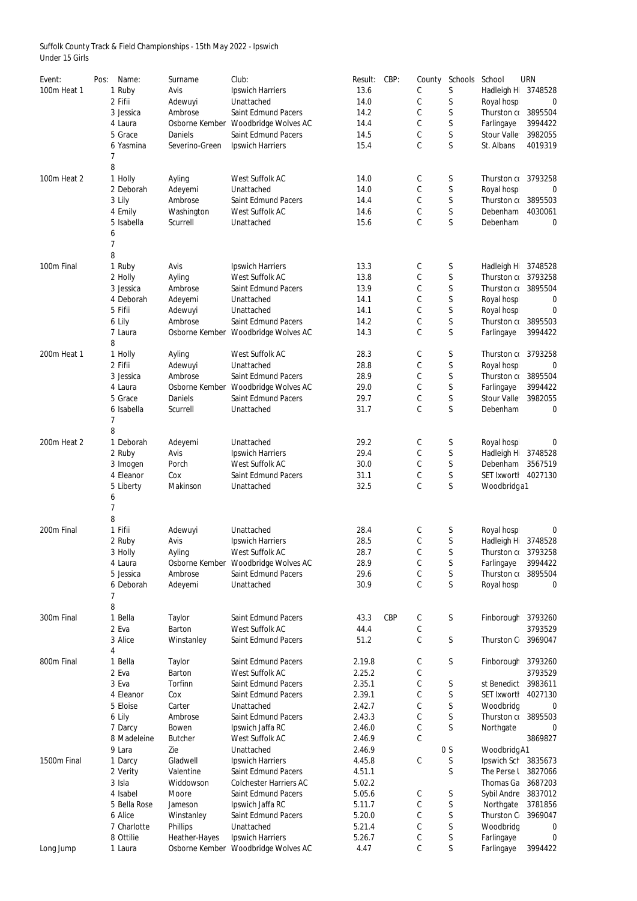Suffolk County Track & Field Championships - 15th May 2022 - Ipswich Under 15 Girls

| Event:      | Pos: | Name:        | Surname         | Club:                         | Result: | CBP:       | County        | Schools        | School             | <b>URN</b> |
|-------------|------|--------------|-----------------|-------------------------------|---------|------------|---------------|----------------|--------------------|------------|
| 100m Heat 1 |      | 1 Ruby       | Avis            | <b>Ipswich Harriers</b>       | 13.6    |            | C             | S              | Hadleigh H         | 3748528    |
|             |      | 2 Fifii      | Adewuyi         | Unattached                    | 14.0    |            | С             | S              | Royal hosp         | 0          |
|             |      |              |                 | <b>Saint Edmund Pacers</b>    | 14.2    |            | C             | S              | Thurston co        | 3895504    |
|             |      | 3 Jessica    | Ambrose         |                               |         |            |               |                |                    |            |
|             |      | 4 Laura      | Osborne Kember  | <b>Woodbridge Wolves AC</b>   | 14.4    |            | C             | S              | Farlingaye         | 3994422    |
|             |      | 5 Grace      | <b>Daniels</b>  | <b>Saint Edmund Pacers</b>    | 14.5    |            | C             | $\mathsf S$    | <b>Stour Valle</b> | 3982055    |
|             |      | 6 Yasmina    | Severino-Green  | <b>Ipswich Harriers</b>       | 15.4    |            | C             | $\mathsf{S}$   | St. Albans         | 4019319    |
|             |      |              |                 |                               |         |            |               |                |                    |            |
|             | 8    |              |                 |                               |         |            |               |                |                    |            |
| 100m Heat 2 |      | 1 Holly      | Ayling          | West Suffolk AC               | 14.0    |            | C             | S              | Thurston co        | 3793258    |
|             |      | 2 Deborah    | Adeyemi         | Unattached                    | 14.0    |            | C             | S              | Royal hosp         | 0          |
|             |      | 3 Lily       | Ambrose         | <b>Saint Edmund Pacers</b>    | 14.4    |            | $\mathcal{C}$ | $\mathsf S$    | Thurston co        | 3895503    |
|             |      | 4 Emily      | Washington      | West Suffolk AC               | 14.6    |            | $\mathsf C$   | $\mathsf S$    | Debenham           | 4030061    |
|             |      | 5 Isabella   | Scurrell        | Unattached                    | 15.6    |            | C             | $\mathsf{S}$   | Debenham           | 0          |
|             | 6    |              |                 |                               |         |            |               |                |                    |            |
|             |      |              |                 |                               |         |            |               |                |                    |            |
|             | 8    |              |                 |                               |         |            |               |                |                    |            |
| 100m Final  |      | 1 Ruby       | Avis            | <b>Ipswich Harriers</b>       | 13.3    |            | C             | S              | Hadleigh H         | 3748528    |
|             |      | 2 Holly      | Ayling          | West Suffolk AC               | 13.8    |            | C             | $\mathsf S$    | Thurston co        | 3793258    |
|             |      | 3 Jessica    | Ambrose         | <b>Saint Edmund Pacers</b>    | 13.9    |            | C             | $\mathsf S$    | Thurston co        | 3895504    |
|             |      |              |                 |                               |         |            |               |                |                    |            |
|             |      | 4 Deborah    | Adeyemi         | Unattached                    | 14.1    |            | C             | S              | Royal hosp         | 0          |
|             |      | 5 Fifii      | Adewuyi         | Unattached                    | 14.1    |            | С             | $\mathsf S$    | Royal hosp         | 0          |
|             |      | 6 Lily       | Ambrose         | <b>Saint Edmund Pacers</b>    | 14.2    |            | C             | $\mathsf S$    | Thurston co        | 3895503    |
|             |      | 7 Laura      | Osborne Kember  | <b>Woodbridge Wolves AC</b>   | 14.3    |            | C             | S              | Farlingaye         | 3994422    |
|             | 8    |              |                 |                               |         |            |               |                |                    |            |
| 200m Heat 1 |      | 1 Holly      | Ayling          | <b>West Suffolk AC</b>        | 28.3    |            | C             | S              | Thurston co        | 3793258    |
|             |      | 2 Fifii      | Adewuyi         | Unattached                    | 28.8    |            | С             | S              | Royal hosp         | 0          |
|             |      | 3 Jessica    | Ambrose         | <b>Saint Edmund Pacers</b>    | 28.9    |            | C             | $\mathsf S$    | Thurston co        | 3895504    |
|             |      | 4 Laura      | Osborne Kember  | <b>Woodbridge Wolves AC</b>   | 29.0    |            | С             | S              | Farlingaye         | 3994422    |
|             |      | 5 Grace      | <b>Daniels</b>  | <b>Saint Edmund Pacers</b>    | 29.7    |            | C             | S              | <b>Stour Valle</b> | 3982055    |
|             |      |              |                 |                               |         |            |               | S              |                    |            |
|             |      | 6 Isabella   | Scurrell        | Unattached                    | 31.7    |            | C             |                | Debenham           | 0          |
|             | 7    |              |                 |                               |         |            |               |                |                    |            |
|             | 8    |              |                 |                               |         |            |               |                |                    |            |
| 200m Heat 2 |      | 1 Deborah    | Adeyemi         | Unattached                    | 29.2    |            | C             | S              | Royal hosp         | 0          |
|             |      | 2 Ruby       | Avis            | <b>Ipswich Harriers</b>       | 29.4    |            | $\mathsf C$   | $\mathsf S$    | Hadleigh H         | 3748528    |
|             |      | 3 Imogen     | Porch           | <b>West Suffolk AC</b>        | 30.0    |            | С             | $\mathsf S$    | <b>Debenham</b>    | 3567519    |
|             |      | 4 Eleanor    | Cox             | <b>Saint Edmund Pacers</b>    | 31.1    |            | $\mathsf C$   | $\mathsf S$    | <b>SET Ixworth</b> | 4027130    |
|             |      | 5 Liberty    | Makinson        | Unattached                    | 32.5    |            | $\mathsf C$   | $\mathsf{S}$   | Woodbridg a1       |            |
|             | 6    |              |                 |                               |         |            |               |                |                    |            |
|             | 7    |              |                 |                               |         |            |               |                |                    |            |
|             | 8    |              |                 |                               |         |            |               |                |                    |            |
| 200m Final  |      | 1 Fifii      | Adewuyi         | Unattached                    | 28.4    |            | C             | S              | Royal hosp         | 0          |
|             |      | 2 Ruby       | Avis            | <b>Ipswich Harriers</b>       | 28.5    |            | C             | $\mathsf S$    | Hadleigh H         | 3748528    |
|             |      |              |                 | West Suffolk AC               | 28.7    |            |               | $\mathsf S$    |                    | 3793258    |
|             |      | 3 Holly      | Ayling          |                               |         |            | $\mathsf C$   |                | Thurston co        |            |
|             |      | 4 Laura      | Osborne Kember  | Woodbridge Wolves AC          | 28.9    |            | $\mathsf C$   | $\mathsf S$    | Farlingaye         | 3994422    |
|             |      | 5 Jessica    | Ambrose         | <b>Saint Edmund Pacers</b>    | 29.6    |            | С             | $\mathsf S$    | Thurston co        | 3895504    |
|             |      | 6 Deborah    | Adeyemi         | Unattached                    | 30.9    |            | $\mathsf C$   | $\mathsf{S}$   | Royal hosp         | 0          |
|             | 7    |              |                 |                               |         |            |               |                |                    |            |
|             | 8    |              |                 |                               |         |            |               |                |                    |            |
| 300m Final  |      | 1 Bella      | Taylor          | <b>Saint Edmund Pacers</b>    | 43.3    | <b>CBP</b> | C             | $\mathsf S$    | Finborough         | 3793260    |
|             |      | 2 Eva        | <b>Barton</b>   | <b>West Suffolk AC</b>        | 44.4    |            | С             |                |                    | 3793529    |
|             |      | 3 Alice      | Winstanley      | <b>Saint Edmund Pacers</b>    | 51.2    |            | C             | $\mathsf{S}$   | Thurston C         | 3969047    |
| 800m Final  | 4    |              |                 | <b>Saint Edmund Pacers</b>    |         |            |               |                |                    |            |
|             |      | 1 Bella      | Taylor          |                               | 2.19.8  |            | C             | $\mathsf S$    | Finborough         | 3793260    |
|             |      | 2 Eva        | <b>Barton</b>   | <b>West Suffolk AC</b>        | 2.25.2  |            | С             |                |                    | 3793529    |
|             |      | 3 Eva        | Torfinn         | <b>Saint Edmund Pacers</b>    | 2.35.1  |            | C             | $\mathsf S$    | st Benedict        | 3983611    |
|             |      | 4 Eleanor    | Cox             | <b>Saint Edmund Pacers</b>    | 2.39.1  |            | $\mathsf C$   | $\mathsf S$    | <b>SET IxwortI</b> | 4027130    |
|             |      | 5 Eloise     | Carter          | Unattached                    | 2.42.7  |            | C             | $\mathsf S$    | Woodbridg          | 0          |
|             |      | 6 Lily       | Ambrose         | <b>Saint Edmund Pacers</b>    | 2.43.3  |            | $\mathsf C$   | $\mathsf S$    | Thurston co        | 3895503    |
|             |      | 7 Darcy      | <b>Bowen</b>    | Ipswich Jaffa RC              | 2.46.0  |            | $\mathsf C$   | S              | Northgate          | 0          |
|             |      |              |                 |                               |         |            |               |                |                    |            |
|             |      | 8 Madeleine  | <b>Butcher</b>  | <b>West Suffolk AC</b>        | 2.46.9  |            | C             |                |                    | 3869827    |
|             |      | 9 Lara       | Zie             | Unattached                    | 2.46.9  |            |               | 0 <sub>S</sub> | Woodbridg A1       |            |
| 1500m Final |      | 1 Darcy      | Gladwell        | <b>Ipswich Harriers</b>       | 4.45.8  |            | C             | S              | Ipswich Sch        | 3835673    |
|             |      | 2 Verity     | Valentine       | <b>Saint Edmund Pacers</b>    | 4.51.1  |            |               | S              | The Perse l        | 3827066    |
|             |      | 3 Isla       | Widdowson       | <b>Colchester Harriers AC</b> | 5.02.2  |            |               |                | Thomas Ga          | 3687203    |
|             |      | 4 Isabel     | Moore           | <b>Saint Edmund Pacers</b>    | 5.05.6  |            | C             | S              | <b>Sybil Andre</b> | 3837012    |
|             |      |              |                 |                               |         |            |               |                |                    |            |
|             |      | 5 Bella Rose | Jameson         | Ipswich Jaffa RC              | 5.11.7  |            | C             | S              | Northgate          | 3781856    |
|             |      | 6 Alice      | Winstanley      | <b>Saint Edmund Pacers</b>    | 5.20.0  |            |               | S              | Thurston C         | 3969047    |
|             |      | 7 Charlotte  | <b>Phillips</b> | Unattached                    | 5.21.4  |            | C             | S              | Woodbridg          | 0          |
|             |      | 8 Ottilie    | Heather-Hayes   | <b>Ipswich Harriers</b>       | 5.26.7  |            | C             | S              | Farlingaye         | 0          |
| Long Jump   |      | 1 Laura      | Osborne Kember  | <b>Woodbridge Wolves AC</b>   | 4.47    |            | С             | S              | Farlingaye         | 3994422    |
|             |      |              |                 |                               |         |            |               |                |                    |            |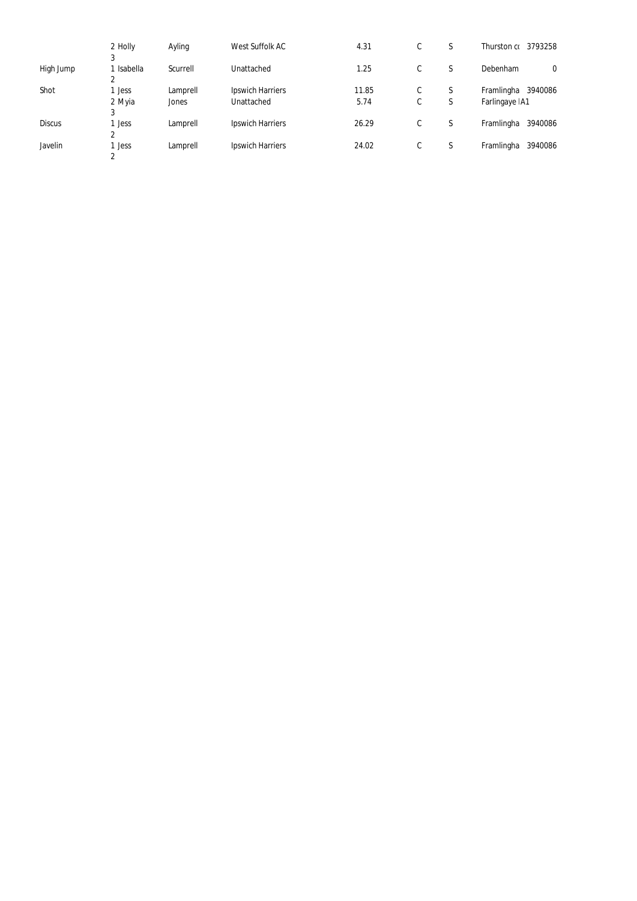|               | 2 Holly                    | Ayling   | West Suffolk AC         | 4.31  | C | S      | 3793258<br>Thurston co |
|---------------|----------------------------|----------|-------------------------|-------|---|--------|------------------------|
|               | 3                          |          |                         |       |   |        |                        |
| High Jump     | Isabella<br>$\overline{2}$ | Scurrell | Unattached              | 1.25  | C | S      | Debenham<br>0          |
| Shot          | <b>Jess</b>                | Lamprell | <b>Ipswich Harriers</b> | 11.85 | C | S      | Framlingha 3940086     |
|               | 2 Myia                     | Jones    | Unattached              | 5.74  | C | ∼<br>S | Farlingaye   A1        |
|               | 3                          |          |                         |       |   |        |                        |
| <b>Discus</b> | <b>Jess</b>                | Lamprell | <b>Ipswich Harriers</b> | 26.29 | С | S      | 3940086<br>Framlingha  |
|               | C                          |          |                         |       |   |        |                        |
| Javelin       | <b>Jess</b>                | Lamprell | <b>Ipswich Harriers</b> | 24.02 | C | S      | 3940086<br>Framlingha  |
|               | 2                          |          |                         |       |   |        |                        |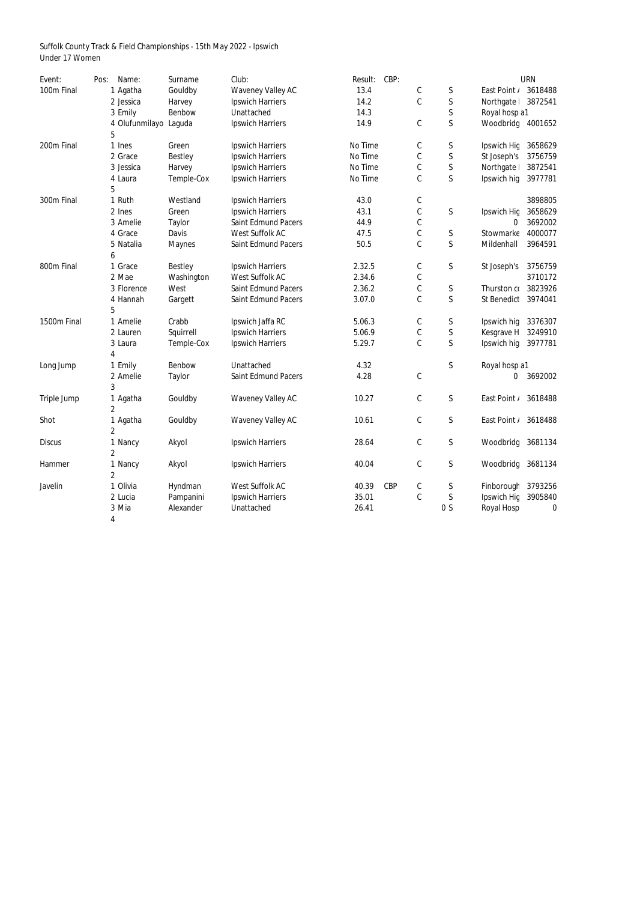Suffolk County Track & Field Championships - 15th May 2022 - Ipswich Under 17 Women

| Event:        | Pos: | Name:                 | Surname        | Club:                      | Result: | CBP:       |             |                |                   | <b>URN</b> |
|---------------|------|-----------------------|----------------|----------------------------|---------|------------|-------------|----------------|-------------------|------------|
| 100m Final    |      | 1 Agatha              | Gouldby        | <b>Waveney Valley AC</b>   | 13.4    |            | C           | S              | East Point /      | 3618488    |
|               |      | 2 Jessica             | Harvey         | <b>Ipswich Harriers</b>    | 14.2    |            | $\mathsf C$ | $\mathsf S$    | Northgate         | 3872541    |
|               |      | 3 Emily               | Benbow         | Unattached                 | 14.3    |            |             | S              | Royal hosp a1     |            |
|               |      | 4 Olufunmilayo Laguda |                | <b>Ipswich Harriers</b>    | 14.9    |            | $\mathsf C$ | $\mathsf S$    | Woodbridg 4001652 |            |
|               |      | 5                     |                |                            |         |            |             |                |                   |            |
| 200m Final    |      | 1 Ines                | Green          | <b>Ipswich Harriers</b>    | No Time |            | C           | S              | Ipswich Hig       | 3658629    |
|               |      | 2 Grace               | <b>Bestley</b> | <b>Ipswich Harriers</b>    | No Time |            | $\mathsf C$ | $\mathsf S$    | St Joseph's       | 3756759    |
|               |      | 3 Jessica             | Harvey         | <b>Ipswich Harriers</b>    | No Time |            | С           | $\mathsf S$    | Northgate         | 3872541    |
|               |      | 4 Laura               | Temple-Cox     | <b>Ipswich Harriers</b>    | No Time |            | $\mathsf C$ | $\mathsf S$    | Ipswich hig       | 3977781    |
|               |      | 5                     |                |                            |         |            |             |                |                   |            |
| 300m Final    |      | 1 Ruth                | Westland       | <b>Ipswich Harriers</b>    | 43.0    |            | C           |                |                   | 3898805    |
|               |      | 2 Ines                | Green          | <b>Ipswich Harriers</b>    | 43.1    |            | $\mathsf C$ | S              | Ipswich Hig       | 3658629    |
|               |      | 3 Amelie              | <b>Taylor</b>  | <b>Saint Edmund Pacers</b> | 44.9    |            | С           |                | 0                 | 3692002    |
|               |      | 4 Grace               | <b>Davis</b>   | <b>West Suffolk AC</b>     | 47.5    |            | С           | S              | Stowmarke         | 4000077    |
|               |      | 5 Natalia             | <b>Maynes</b>  | <b>Saint Edmund Pacers</b> | 50.5    |            | $\mathsf C$ | $\mathsf{S}$   | Mildenhall        | 3964591    |
|               |      | 6                     |                |                            |         |            |             |                |                   |            |
| 800m Final    |      | 1 Grace               | <b>Bestley</b> | <b>Ipswich Harriers</b>    | 2.32.5  |            | C           | S              | St Joseph's       | 3756759    |
|               |      | 2 Mae                 | Washington     | West Suffolk AC            | 2.34.6  |            | С           |                |                   | 3710172    |
|               |      | 3 Florence            | West           | <b>Saint Edmund Pacers</b> | 2.36.2  |            | $\mathsf C$ | S              | Thurston co       | 3823926    |
|               |      | 4 Hannah              | Gargett        | <b>Saint Edmund Pacers</b> | 3.07.0  |            | $\mathsf C$ | $\mathsf S$    | St Benedict       | 3974041    |
|               |      | 5                     |                |                            |         |            |             |                |                   |            |
| 1500m Final   |      | 1 Amelie              | Crabb          | Ipswich Jaffa RC           | 5.06.3  |            | C           | S              | Ipswich hig       | 3376307    |
|               |      | 2 Lauren              | Squirrell      | <b>Ipswich Harriers</b>    | 5.06.9  |            | C           | $\mathsf S$    | Kesgrave H        | 3249910    |
|               |      | 3 Laura               | Temple-Cox     | <b>Ipswich Harriers</b>    | 5.29.7  |            | $\mathsf C$ | $\mathsf{S}$   | Ipswich hig       | 3977781    |
|               |      | 4                     |                |                            |         |            |             |                |                   |            |
| Long Jump     |      | 1 Emily               | Benbow         | Unattached                 | 4.32    |            |             | $\mathsf S$    | Royal hosp a1     |            |
|               |      | 2 Amelie              | <b>Taylor</b>  | <b>Saint Edmund Pacers</b> | 4.28    |            | С           |                | 0.                | 3692002    |
|               |      | 3                     |                |                            |         |            |             |                |                   |            |
| Triple Jump   |      | 1 Agatha              | Gouldby        | <b>Waveney Valley AC</b>   | 10.27   |            | С           | S              | East Point /      | 3618488    |
|               |      | $\overline{2}$        |                |                            |         |            |             |                |                   |            |
| Shot          |      | 1 Agatha              | Gouldby        | <b>Waveney Valley AC</b>   | 10.61   |            | $\mathsf C$ | $\mathsf S$    | East Point /      | 3618488    |
|               |      | $\overline{2}$        |                |                            |         |            |             |                |                   |            |
| <b>Discus</b> |      | 1 Nancy               | Akyol          | <b>Ipswich Harriers</b>    | 28.64   |            | $\mathsf C$ | S              | Woodbridg 3681134 |            |
|               |      | $\overline{2}$        |                |                            |         |            |             |                |                   |            |
| Hammer        |      | 1 Nancy               | Akyol          | <b>Ipswich Harriers</b>    | 40.04   |            | $\mathsf C$ | S              | Woodbridg 3681134 |            |
|               |      | 2                     |                |                            |         |            |             |                |                   |            |
| Javelin       |      | 1 Olivia              | Hyndman        | <b>West Suffolk AC</b>     | 40.39   | <b>CBP</b> | C           | S              | Finborough        | 3793256    |
|               |      | 2 Lucia               | Pampanini      | <b>Ipswich Harriers</b>    | 35.01   |            | $\mathsf C$ | $\mathsf S$    | Ipswich Hig       | 3905840    |
|               |      | 3 Mia                 | Alexander      | Unattached                 | 26.41   |            |             | 0 <sub>S</sub> | <b>Royal Hosp</b> | 0          |
|               |      | 4                     |                |                            |         |            |             |                |                   |            |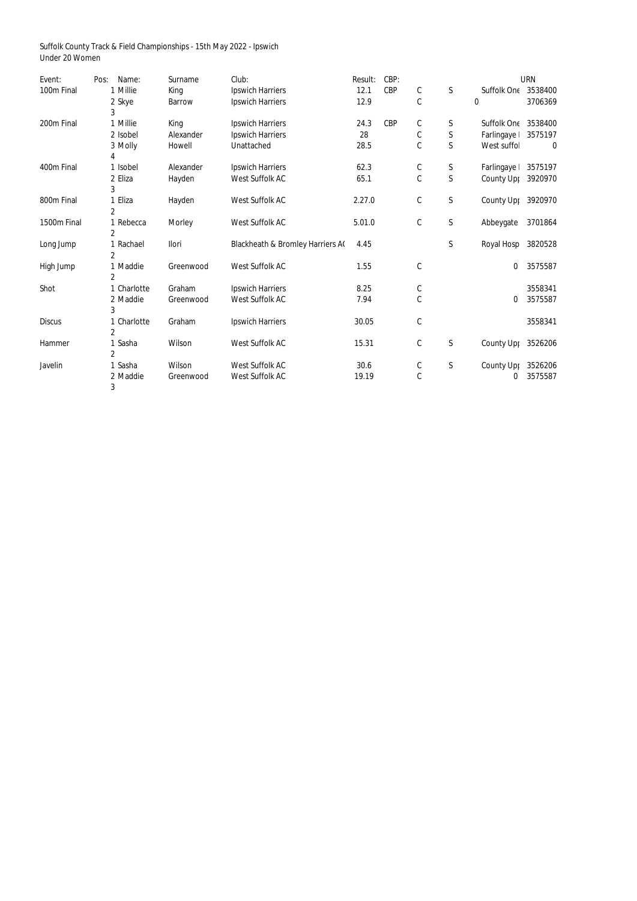Suffolk County Track & Field Championships - 15th May 2022 - Ipswich Under 20 Women

| Event:        | Pos: | Name:          | Surname       | Club:                                       | Result: | CBP:       |             |              |                            | <b>URN</b> |
|---------------|------|----------------|---------------|---------------------------------------------|---------|------------|-------------|--------------|----------------------------|------------|
| 100m Final    |      | 1 Millie       | King          | <b>Ipswich Harriers</b>                     | 12.1    | <b>CBP</b> | $\mathsf C$ | $\mathsf S$  | <b>Suffolk One 3538400</b> |            |
|               |      | 2 Skye         | <b>Barrow</b> | <b>Ipswich Harriers</b>                     | 12.9    |            | $\mathsf C$ |              | $\mathbf 0$                | 3706369    |
|               |      | 3              |               |                                             |         |            |             |              |                            |            |
| 200m Final    |      | 1 Millie       | King          | <b>Ipswich Harriers</b>                     | 24.3    | <b>CBP</b> | C           | S            | Suffolk On€ 3538400        |            |
|               |      | 2 Isobel       | Alexander     | <b>Ipswich Harriers</b>                     | 28      |            | $\mathsf C$ | $\mathsf S$  | Farlingaye                 | 3575197    |
|               |      | 3 Molly        | Howell        | Unattached                                  | 28.5    |            | $\mathsf C$ | $\mathsf S$  | West suffol                | 0          |
|               |      | 4              |               |                                             |         |            |             |              |                            |            |
| 400m Final    |      | 1 Isobel       | Alexander     | <b>Ipswich Harriers</b>                     | 62.3    |            | $\mathsf C$ | $\mathsf S$  | Farlingaye                 | 3575197    |
|               |      | 2 Eliza        | Hayden        | <b>West Suffolk AC</b>                      | 65.1    |            | $\mathsf C$ | $\mathsf S$  | County Upp                 | 3920970    |
|               |      | 3              |               |                                             |         |            |             |              |                            |            |
| 800m Final    |      | 1 Eliza        | Hayden        | <b>West Suffolk AC</b>                      | 2.27.0  |            | $\mathsf C$ | S            | County Upp 3920970         |            |
|               |      | $\overline{2}$ |               |                                             |         |            |             |              |                            |            |
| 1500m Final   |      | 1 Rebecca      | Morley        | West Suffolk AC                             | 5.01.0  |            | $\mathsf C$ | $\mathsf S$  | Abbeygate                  | 3701864    |
|               |      | $\overline{2}$ |               |                                             |         |            |             |              |                            |            |
| Long Jump     |      | 1 Rachael      | Ilori         | <b>Blackheath &amp; Bromley Harriers A(</b> | 4.45    |            |             | $\mathsf S$  | Royal Hosp 3820528         |            |
|               |      | $\overline{2}$ |               |                                             |         |            |             |              |                            |            |
| High Jump     |      | 1 Maddie       | Greenwood     | <b>West Suffolk AC</b>                      | 1.55    |            | $\mathbb C$ |              | 0                          | 3575587    |
|               |      | $\overline{2}$ |               |                                             |         |            |             |              |                            |            |
| Shot          |      | 1 Charlotte    | Graham        | <b>Ipswich Harriers</b>                     | 8.25    |            | C           |              |                            | 3558341    |
|               |      | 2 Maddie       | Greenwood     | <b>West Suffolk AC</b>                      | 7.94    |            | $\mathsf C$ |              | 0                          | 3575587    |
|               |      | 3              |               |                                             |         |            |             |              |                            |            |
| <b>Discus</b> |      | 1 Charlotte    | Graham        | <b>Ipswich Harriers</b>                     | 30.05   |            | $\mathsf C$ |              |                            | 3558341    |
|               |      | $\overline{2}$ |               |                                             |         |            |             |              |                            |            |
| Hammer        |      | 1 Sasha        | Wilson        | <b>West Suffolk AC</b>                      | 15.31   |            | $\mathsf C$ | $\mathsf{S}$ | County Upp                 | 3526206    |
|               |      | $\overline{2}$ |               |                                             |         |            |             |              |                            |            |
| Javelin       |      | 1 Sasha        | Wilson        | <b>West Suffolk AC</b>                      | 30.6    |            | C           | $\mathsf{S}$ | County Upp                 | 3526206    |
|               |      | 2 Maddie       | Greenwood     | <b>West Suffolk AC</b>                      | 19.19   |            | $\mathsf C$ |              | 0                          | 3575587    |
|               |      | 3              |               |                                             |         |            |             |              |                            |            |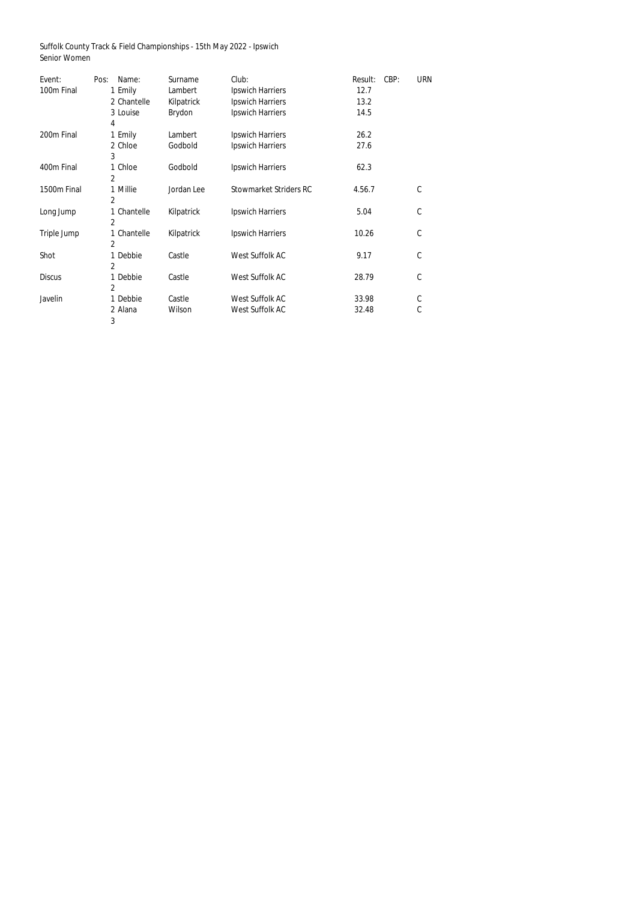Suffolk County Track & Field Championships - 15th May 2022 - Ipswich Senior Women

| Event:        | Name:<br>Pos:  | Surname    | Club:                         | CBP:<br>Result: | <b>URN</b>   |
|---------------|----------------|------------|-------------------------------|-----------------|--------------|
| 100m Final    | 1 Emily        | Lambert    | <b>Ipswich Harriers</b>       | 12.7            |              |
|               | 2 Chantelle    | Kilpatrick | <b>Ipswich Harriers</b>       | 13.2            |              |
|               | 3 Louise       | Brydon     | <b>Ipswich Harriers</b>       | 14.5            |              |
|               | 4              |            |                               |                 |              |
| 200m Final    | 1 Emily        | Lambert    | <b>Ipswich Harriers</b>       | 26.2            |              |
|               | 2 Chloe        | Godbold    | <b>Ipswich Harriers</b>       | 27.6            |              |
|               | 3              |            |                               |                 |              |
| 400m Final    | 1 Chloe        | Godbold    | <b>Ipswich Harriers</b>       | 62.3            |              |
|               | $\overline{2}$ |            |                               |                 |              |
| 1500m Final   | 1 Millie       | Jordan Lee | <b>Stowmarket Striders RC</b> | 4.56.7          | $\mathsf{C}$ |
|               | 2              |            |                               |                 |              |
| Long Jump     | 1 Chantelle    | Kilpatrick | <b>Ipswich Harriers</b>       | 5.04            | C            |
|               | $\overline{2}$ |            |                               |                 |              |
| Triple Jump   | 1 Chantelle    | Kilpatrick | <b>Ipswich Harriers</b>       | 10.26           | $\mathsf C$  |
|               | $\overline{2}$ |            |                               |                 |              |
| Shot          | 1 Debbie       | Castle     | <b>West Suffolk AC</b>        | 9.17            | $\mathsf{C}$ |
|               | $\overline{2}$ |            |                               |                 |              |
| <b>Discus</b> | 1 Debbie       | Castle     | West Suffolk AC               | 28.79           | $\mathsf{C}$ |
|               | 2              |            |                               |                 |              |
| Javelin       | 1 Debbie       | Castle     | <b>West Suffolk AC</b>        | 33.98           | C            |
|               | 2 Alana        | Wilson     | <b>West Suffolk AC</b>        | 32.48           | $\mathsf C$  |
|               | 3              |            |                               |                 |              |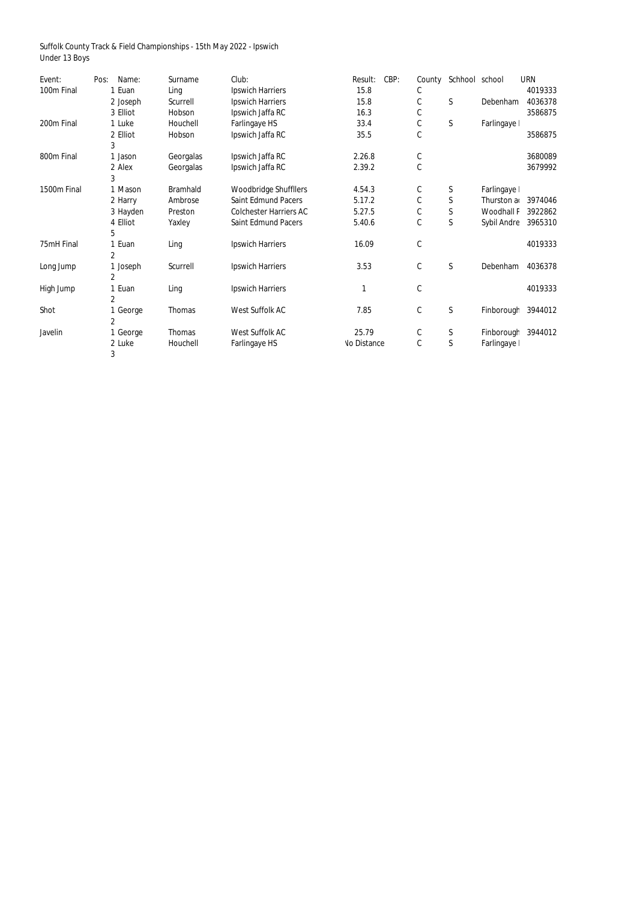Suffolk County Track & Field Championships - 15th May 2022 - Ipswich Under 13 Boys

| Event:      | Pos: | Name:    | Surname         | Club:                         | Result:            | CBP: | County        | Schhool school |                    | <b>URN</b> |
|-------------|------|----------|-----------------|-------------------------------|--------------------|------|---------------|----------------|--------------------|------------|
| 100m Final  |      | 1 Euan   | Ling            | <b>Ipswich Harriers</b>       | 15.8               |      | C             |                |                    | 4019333    |
|             |      | 2 Joseph | Scurrell        | <b>Ipswich Harriers</b>       | 15.8               |      | C             | $\mathsf S$    | Debenham           | 4036378    |
|             |      | 3 Elliot | Hobson          | Ipswich Jaffa RC              | 16.3               |      | C             |                |                    | 3586875    |
| 200m Final  |      | 1 Luke   | Houchell        | Farlingaye HS                 | 33.4               |      | $\mathsf C$   | $\mathsf S$    | Farlingaye         |            |
|             |      | 2 Elliot | Hobson          | Ipswich Jaffa RC              | 35.5               |      | С             |                |                    | 3586875    |
|             |      | 3        |                 |                               |                    |      |               |                |                    |            |
| 800m Final  |      | 1 Jason  | Georgalas       | Ipswich Jaffa RC              | 2.26.8             |      | $\mathfrak c$ |                |                    | 3680089    |
|             |      | 2 Alex   | Georgalas       | Ipswich Jaffa RC              | 2.39.2             |      | $\mathsf C$   |                |                    | 3679992    |
|             |      | 3        |                 |                               |                    |      |               |                |                    |            |
| 1500m Final |      | 1 Mason  | <b>Bramhald</b> | <b>Woodbridge Shuffllers</b>  | 4.54.3             |      | C             | $\mathsf{S}$   | Farlingaye         |            |
|             |      | 2 Harry  | Ambrose         | <b>Saint Edmund Pacers</b>    | 5.17.2             |      | C             | $\mathsf S$    | Thurston a         | 3974046    |
|             |      | 3 Hayden | Preston         | <b>Colchester Harriers AC</b> | 5.27.5             |      | $\mathsf C$   | $\mathsf S$    | <b>Woodhall F</b>  | 3922862    |
|             |      | 4 Elliot | Yaxley          | <b>Saint Edmund Pacers</b>    | 5.40.6             |      | $\mathsf C$   | $\mathsf S$    | <b>Sybil Andre</b> | 3965310    |
|             |      | 5        |                 |                               |                    |      |               |                |                    |            |
| 75mH Final  |      | Euan     | Ling            | <b>Ipswich Harriers</b>       | 16.09              |      | $\mathsf{C}$  |                |                    | 4019333    |
|             | 2    |          |                 |                               |                    |      |               |                |                    |            |
| Long Jump   |      | 1 Joseph | Scurrell        | <b>Ipswich Harriers</b>       | 3.53               |      | C             | $\mathsf{S}$   | Debenham           | 4036378    |
|             |      | 2        |                 |                               |                    |      |               |                |                    |            |
| High Jump   |      | Euan     | Ling            | <b>Ipswich Harriers</b>       |                    |      | C             |                |                    | 4019333    |
|             |      | 2        |                 |                               |                    |      |               |                |                    |            |
| Shot        |      | George   | <b>Thomas</b>   | <b>West Suffolk AC</b>        | 7.85               |      | C             | $\mathsf{S}$   | Finborough         | 3944012    |
|             |      | 2        |                 |                               |                    |      |               |                |                    |            |
| Javelin     |      | George   | <b>Thomas</b>   | <b>West Suffolk AC</b>        | 25.79              |      | C             | $\mathsf S$    | Finborough         | 3944012    |
|             |      | 2 Luke   | Houchell        | <b>Farlingaye HS</b>          | <b>No Distance</b> |      | C             | $\mathsf{S}$   | Farlingaye         |            |
|             |      | 3        |                 |                               |                    |      |               |                |                    |            |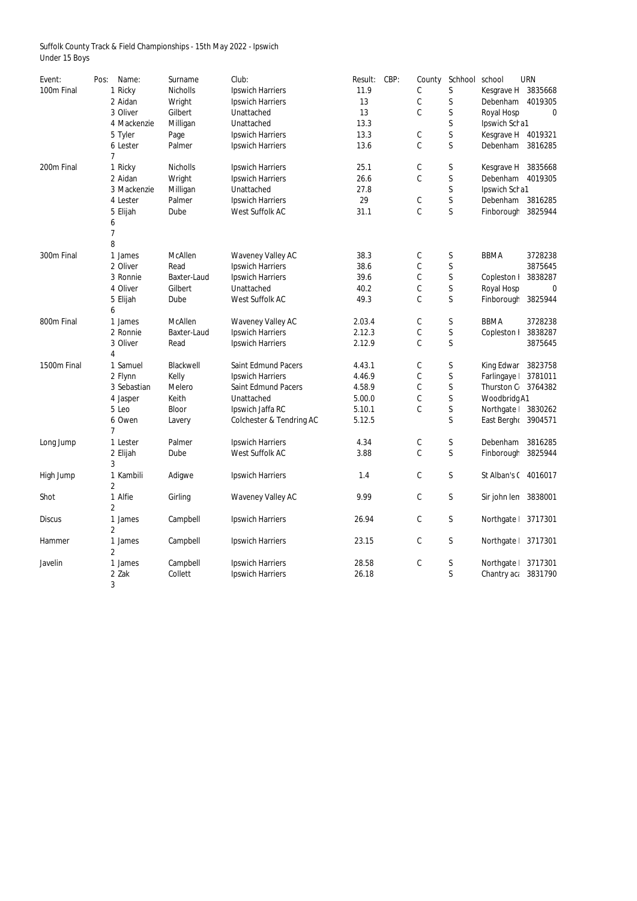Suffolk County Track & Field Championships - 15th May 2022 - Ipswich Under 15 Boys

| Event:        | Pos:<br>Name:  | Surname            | Club:                                                   | CBP:<br>Result: | County           | Schhool          | school               | <b>URN</b>       |
|---------------|----------------|--------------------|---------------------------------------------------------|-----------------|------------------|------------------|----------------------|------------------|
| 100m Final    | 1 Ricky        | <b>Nicholls</b>    | <b>Ipswich Harriers</b>                                 | 11.9            | С                | S                | Kesgrave H           | 3835668          |
|               | 2 Aidan        | Wright             | <b>Ipswich Harriers</b>                                 | 13              | $\mathsf C$      | S                | Debenham             | 4019305          |
|               | 3 Oliver       | Gilbert            | Unattached                                              | 13              | C                | $\mathsf S$      | <b>Royal Hosp</b>    | 0                |
|               | 4 Mackenzie    | Milligan           | Unattached                                              | 13.3            |                  | S                | Ipswich Scha1        |                  |
|               | 5 Tyler        | Page               | <b>Ipswich Harriers</b>                                 | 13.3            | $\mathsf C$      | S                | Kesgrave H           | 4019321          |
|               | 6 Lester       | Palmer             | <b>Ipswich Harriers</b>                                 | 13.6            | $\mathsf C$      | S                | Debenham             | 3816285          |
|               | $\overline{7}$ |                    |                                                         |                 |                  |                  |                      |                  |
| 200m Final    | 1 Ricky        | <b>Nicholls</b>    | <b>Ipswich Harriers</b>                                 | 25.1            | C                | S                | Kesgrave H           | 3835668          |
|               | 2 Aidan        | Wright             | <b>Ipswich Harriers</b>                                 | 26.6            | $\mathsf C$      | S                | Debenham             | 4019305          |
|               | 3 Mackenzie    | Milligan           | Unattached                                              | 27.8            |                  | S                | Ipswich Scha1        |                  |
|               | 4 Lester       | Palmer             | <b>Ipswich Harriers</b>                                 | 29              | C                | S                | Debenham             | 3816285          |
|               | 5 Elijah       | Dube               | West Suffolk AC                                         | 31.1            | $\mathsf C$      | $\mathsf S$      | Finborough           | 3825944          |
|               | 6              |                    |                                                         |                 |                  |                  |                      |                  |
|               | 7              |                    |                                                         |                 |                  |                  |                      |                  |
|               | 8              |                    |                                                         |                 |                  |                  |                      |                  |
| 300m Final    | 1 James        | <b>McAllen</b>     | <b>Waveney Valley AC</b>                                | 38.3            | С                | S                | <b>BBMA</b>          | 3728238          |
|               | 2 Oliver       | Read               | <b>Ipswich Harriers</b>                                 | 38.6            | C                | S                |                      | 3875645          |
|               | 3 Ronnie       | <b>Baxter-Laud</b> | <b>Ipswich Harriers</b>                                 | 39.6            | $\mathsf C$      | S                | Copleston I          | 3838287          |
|               | 4 Oliver       | Gilbert            | Unattached                                              | 40.2            | $\mathsf C$      | S                | <b>Royal Hosp</b>    | $\boldsymbol{0}$ |
|               | 5 Elijah       | Dube               | West Suffolk AC                                         | 49.3            | $\mathsf C$      | $\mathsf S$      | Finborough           | 3825944          |
|               | 6              |                    |                                                         |                 |                  |                  |                      |                  |
| 800m Final    | 1 James        | <b>McAllen</b>     | <b>Waveney Valley AC</b>                                | 2.03.4          | $\mathsf C$      | S                | <b>BBMA</b>          | 3728238          |
|               | 2 Ronnie       | <b>Baxter-Laud</b> | <b>Ipswich Harriers</b>                                 | 2.12.3          | $\mathsf C$      | S                | Copleston I          | 3838287          |
|               | 3 Oliver       | Read               | <b>Ipswich Harriers</b>                                 | 2.12.9          | $\mathsf C$      | $\mathsf S$      |                      | 3875645          |
|               | 4              |                    |                                                         |                 |                  |                  |                      |                  |
| 1500m Final   | 1 Samuel       | Blackwell          | <b>Saint Edmund Pacers</b>                              | 4.43.1          | C                | S                | King Edwar           | 3823758          |
|               | 2 Flynn        | Kelly              | <b>Ipswich Harriers</b>                                 | 4.46.9          | $\mathsf C$      | S                | Farlingaye           | 3781011          |
|               | 3 Sebastian    | Melero             | <b>Saint Edmund Pacers</b>                              | 4.58.9          | С                | S<br>$\mathsf S$ | Thurston C 3764382   |                  |
|               | 4 Jasper       | Keith              | Unattached                                              | 5.00.0          | $\mathsf C$<br>C | S                | Woodbridg A1         |                  |
|               | 5 Leo          | <b>Bloor</b>       | Ipswich Jaffa RC<br><b>Colchester &amp; Tendring AC</b> | 5.10.1          |                  | $\mathsf S$      | Northgate 3830262    |                  |
|               | 6 Owen         | Lavery             |                                                         | 5.12.5          |                  |                  | East Bergho          | 3904571          |
| Long Jump     | 1 Lester       | Palmer             | <b>Ipswich Harriers</b>                                 | 4.34            | $\mathsf C$      | S                | Debenham             | 3816285          |
|               | 2 Elijah       | Dube               | West Suffolk AC                                         | 3.88            | $\mathsf C$      | $\mathsf S$      | Finborough           | 3825944          |
|               | 3              |                    |                                                         |                 |                  |                  |                      |                  |
| High Jump     | 1 Kambili      | Adigwe             | <b>Ipswich Harriers</b>                                 | 1.4             | С                | S                | St Alban's ( 4016017 |                  |
|               | 2              |                    |                                                         |                 |                  |                  |                      |                  |
| Shot          | 1 Alfie        | Girling            | <b>Waveney Valley AC</b>                                | 9.99            | $\mathsf C$      | $\mathsf S$      | Sir john len 3838001 |                  |
|               | 2              |                    |                                                         |                 |                  |                  |                      |                  |
| <b>Discus</b> | 1 James        | Campbell           | <b>Ipswich Harriers</b>                                 | 26.94           | $\mathsf C$      | $\mathsf S$      | Northgate            | 3717301          |
|               | 2              |                    |                                                         |                 |                  |                  |                      |                  |
| Hammer        | 1 James        | Campbell           | <b>Ipswich Harriers</b>                                 | 23.15           | $\mathsf C$      | S                | Northgate            | 3717301          |
|               | 2              |                    |                                                         |                 |                  |                  |                      |                  |
| Javelin       | 1 James        | Campbell           | <b>Ipswich Harriers</b>                                 | 28.58           | $\mathsf C$      | S                | Northgate            | 3717301          |
|               | 2 Zak          | Collett            | <b>Ipswich Harriers</b>                                 | 26.18           |                  | S                | Chantry aca          | 3831790          |
|               | 3              |                    |                                                         |                 |                  |                  |                      |                  |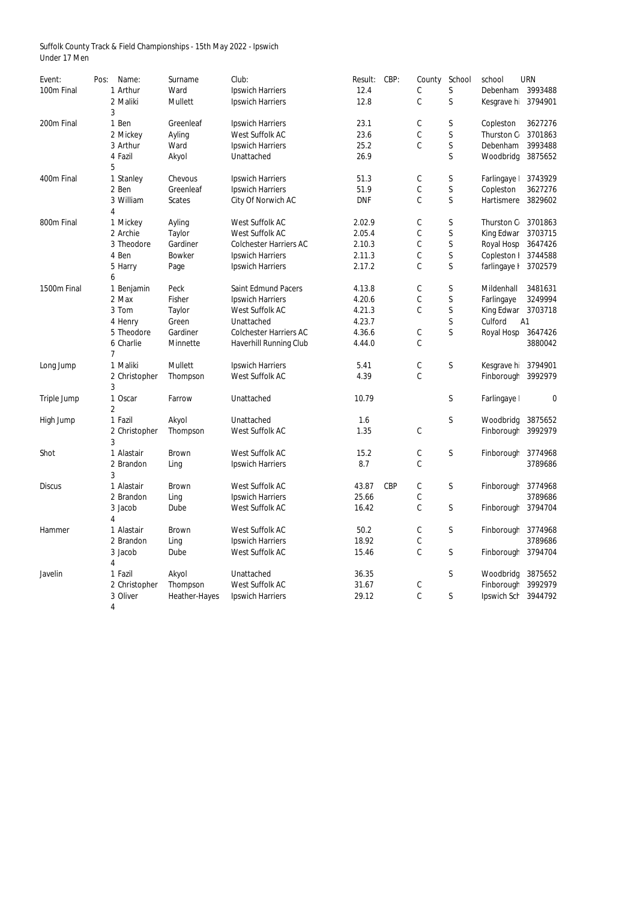Suffolk County Track & Field Championships - 15th May 2022 - Ipswich Under 17 Men

| Event:        | Pos: | Name:          | Surname        | Club:                         | Result:    | CBP:       | County        | School       | school            | <b>URN</b> |
|---------------|------|----------------|----------------|-------------------------------|------------|------------|---------------|--------------|-------------------|------------|
| 100m Final    |      | 1 Arthur       | Ward           | <b>Ipswich Harriers</b>       | 12.4       |            | C             | S            | Debenham          | 3993488    |
|               |      | 2 Maliki       | <b>Mullett</b> | <b>Ipswich Harriers</b>       | 12.8       |            | $\mathsf C$   | S            | Kesgrave h        | 3794901    |
|               |      | 3              |                |                               |            |            |               |              |                   |            |
| 200m Final    |      | 1 Ben          | Greenleaf      | <b>Ipswich Harriers</b>       | 23.1       |            | $\mathbb C$   | S            | Copleston         | 3627276    |
|               |      | 2 Mickey       | Ayling         | West Suffolk AC               | 23.6       |            | C             | S            | Thurston C        | 3701863    |
|               |      | 3 Arthur       | Ward           | <b>Ipswich Harriers</b>       | 25.2       |            | $\mathsf C$   | $\mathsf S$  | Debenham          | 3993488    |
|               |      | 4 Fazil        | Akyol          | Unattached                    | 26.9       |            |               | $\mathsf S$  | Woodbridg         | 3875652    |
|               |      | 5              |                |                               |            |            |               |              |                   |            |
| 400m Final    |      | 1 Stanley      | Chevous        | <b>Ipswich Harriers</b>       | 51.3       |            | $\mathsf C$   | S            | Farlingaye        | 3743929    |
|               |      | 2 Ben          | Greenleaf      | <b>Ipswich Harriers</b>       | 51.9       |            | $\mathbb C$   | S            | Copleston         | 3627276    |
|               |      | 3 William      | <b>Scates</b>  | City Of Norwich AC            | <b>DNF</b> |            | $\mathsf C$   | $\mathsf S$  | Hartismere        | 3829602    |
|               |      | 4              |                |                               |            |            |               |              |                   |            |
| 800m Final    |      | 1 Mickey       | Ayling         | West Suffolk AC               | 2.02.9     |            | C             | S            | Thurston C        | 3701863    |
|               |      | 2 Archie       | Taylor         | <b>West Suffolk AC</b>        | 2.05.4     |            | $\mathsf C$   | S            | <b>King Edwar</b> | 3703715    |
|               |      | 3 Theodore     | Gardiner       | <b>Colchester Harriers AC</b> | 2.10.3     |            | C             | S            | <b>Royal Hosp</b> | 3647426    |
|               |      | 4 Ben          | <b>Bowker</b>  | <b>Ipswich Harriers</b>       | 2.11.3     |            | $\mathsf C$   | $\mathsf S$  | Copleston I       | 3744588    |
|               |      | 5 Harry        | Page           | <b>Ipswich Harriers</b>       | 2.17.2     |            | $\mathsf C$   | $\mathsf S$  | farlingaye I      | 3702579    |
|               |      | 6              |                |                               |            |            |               |              |                   |            |
| 1500m Final   |      | 1 Benjamin     | Peck           | <b>Saint Edmund Pacers</b>    | 4.13.8     |            | C             | S            | Mildenhall        | 3481631    |
|               |      | 2 Max          | Fisher         | <b>Ipswich Harriers</b>       | 4.20.6     |            | C             | S            | Farlingaye        | 3249994    |
|               |      | 3 Tom          | <b>Taylor</b>  | <b>West Suffolk AC</b>        | 4.21.3     |            | $\mathsf C$   | $\mathsf S$  | King Edwar        | 3703718    |
|               |      | 4 Henry        | Green          | Unattached                    | 4.23.7     |            |               | S            | Culford           | A1         |
|               |      | 5 Theodore     | Gardiner       | <b>Colchester Harriers AC</b> | 4.36.6     |            | $\mathbb C$   | $\mathsf S$  | Royal Hosp        | 3647426    |
|               |      | 6 Charlie      | Minnette       | <b>Haverhill Running Club</b> | 4.44.0     |            | $\mathsf C$   |              |                   | 3880042    |
|               |      | 7              |                |                               |            |            |               |              |                   |            |
| Long Jump     |      | 1 Maliki       | <b>Mullett</b> | <b>Ipswich Harriers</b>       | 5.41       |            | C             | S            | Kesgrave hi       | 3794901    |
|               |      | 2 Christopher  | Thompson       | West Suffolk AC               | 4.39       |            | C             |              | Finborough        | 3992979    |
|               |      | 3              |                |                               |            |            |               |              |                   |            |
| Triple Jump   |      | 1 Oscar        | Farrow         | Unattached                    | 10.79      |            |               | S            | Farlingaye        | 0          |
|               |      | $\overline{2}$ |                |                               |            |            |               |              |                   |            |
| High Jump     |      | 1 Fazil        | Akyol          | Unattached                    | 1.6        |            |               | $\mathsf{S}$ | Woodbridg         | 3875652    |
|               |      | 2 Christopher  | Thompson       | West Suffolk AC               | 1.35       |            | $\mathsf C$   |              | Finborough        | 3992979    |
|               |      | 3              |                |                               |            |            |               |              |                   |            |
| Shot          |      | 1 Alastair     | <b>Brown</b>   | West Suffolk AC               | 15.2       |            | $\mathfrak c$ | S            | Finborough        | 3774968    |
|               |      | 2 Brandon      | Ling           | <b>Ipswich Harriers</b>       | 8.7        |            | $\mathbb C$   |              |                   | 3789686    |
|               |      | 3              |                |                               |            |            |               |              |                   |            |
| <b>Discus</b> |      | 1 Alastair     | <b>Brown</b>   | West Suffolk AC               | 43.87      | <b>CBP</b> | C             | S            | Finborough        | 3774968    |
|               |      | 2 Brandon      | Ling           | <b>Ipswich Harriers</b>       | 25.66      |            | $\mathsf C$   |              |                   | 3789686    |
|               |      | 3 Jacob        | Dube           | West Suffolk AC               | 16.42      |            | $\mathbb C$   | S            | Finborough        | 3794704    |
|               |      | 4              |                |                               |            |            |               |              |                   |            |
| Hammer        |      | 1 Alastair     | <b>Brown</b>   | <b>West Suffolk AC</b>        | 50.2       |            | C             | S            | Finborough        | 3774968    |
|               |      | 2 Brandon      | Ling           | <b>Ipswich Harriers</b>       | 18.92      |            | $\mathsf C$   |              |                   | 3789686    |
|               |      | 3 Jacob        | Dube           | West Suffolk AC               | 15.46      |            | $\mathbb C$   | S            | Finborough        | 3794704    |
|               |      | 4              |                |                               |            |            |               |              |                   |            |
| Javelin       |      | 1 Fazil        | Akyol          | Unattached                    | 36.35      |            |               | S            | Woodbridg         | 3875652    |
|               |      | 2 Christopher  | Thompson       | West Suffolk AC               | 31.67      |            | C             |              | Finborough        | 3992979    |
|               |      | 3 Oliver       | Heather-Hayes  | <b>Ipswich Harriers</b>       | 29.12      |            | $\mathbb C$   | S            | Ipswich Sch       | 3944792    |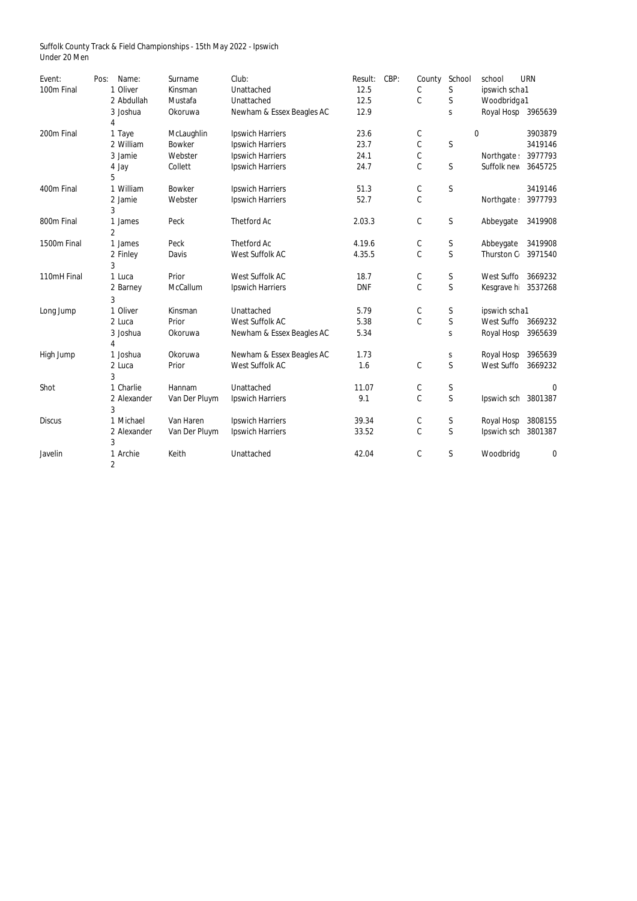Suffolk County Track & Field Championships - 15th May 2022 - Ipswich Under 20 Men

| Event:        | Name:<br>Pos:  | Surname       | Club:                     | Result:    | CBP: | County      | School       | school              | <b>URN</b>       |  |
|---------------|----------------|---------------|---------------------------|------------|------|-------------|--------------|---------------------|------------------|--|
| 100m Final    | 1 Oliver       | Kinsman       | Unattached                | 12.5       |      | $\mathsf C$ | S            | ipswich scha1       |                  |  |
|               | 2 Abdullah     | Mustafa       | Unattached                | 12.5       |      | $\mathsf C$ | $\mathsf{S}$ | Woodbridg a1        |                  |  |
|               | 3 Joshua       | Okoruwa       | Newham & Essex Beagles AC | 12.9       |      |             | $\mathsf S$  | Royal Hosp 3965639  |                  |  |
|               | 4              |               |                           |            |      |             |              |                     |                  |  |
| 200m Final    | 1 Taye         | McLaughlin    | <b>Ipswich Harriers</b>   | 23.6       |      | $\mathsf C$ |              | $\pmb{0}$           | 3903879          |  |
|               | 2 William      | <b>Bowker</b> | <b>Ipswich Harriers</b>   | 23.7       |      | $\mathsf C$ | $\mathsf{S}$ |                     | 3419146          |  |
|               | 3 Jamie        | Webster       | <b>Ipswich Harriers</b>   | 24.1       |      | $\mathsf C$ |              | Northgate:          | 3977793          |  |
|               | 4 Jay          | Collett       | <b>Ipswich Harriers</b>   | 24.7       |      | $\mathsf C$ | $\mathsf S$  | Suffolk nev         | 3645725          |  |
|               | 5              |               |                           |            |      |             |              |                     |                  |  |
| 400m Final    | 1 William      | <b>Bowker</b> | <b>Ipswich Harriers</b>   | 51.3       |      | $\mathsf C$ | $\mathsf S$  |                     | 3419146          |  |
|               | 2 Jamie        | Webster       | <b>Ipswich Harriers</b>   | 52.7       |      | $\mathsf C$ |              | Northgate:          | 3977793          |  |
|               | 3              |               |                           |            |      |             |              |                     |                  |  |
| 800m Final    | 1 James        | Peck          | <b>Thetford Ac</b>        | 2.03.3     |      | $\mathsf C$ | $\mathsf S$  | Abbeygate           | 3419908          |  |
|               | $\overline{2}$ |               |                           |            |      |             |              |                     |                  |  |
| 1500m Final   | 1 James        | Peck          | <b>Thetford Ac</b>        | 4.19.6     |      | $\mathsf C$ | $\mathsf S$  | Abbeygate           | 3419908          |  |
|               | 2 Finley       | Davis         | West Suffolk AC           | 4.35.5     |      | $\mathsf C$ | $\mathsf S$  | Thurston C 3971540  |                  |  |
|               | 3              |               |                           |            |      |             |              |                     |                  |  |
| 110mH Final   | 1 Luca         | Prior         | <b>West Suffolk AC</b>    | 18.7       |      | $\mathsf C$ | $\mathsf S$  | West Suffo          | 3669232          |  |
|               | 2 Barney       | McCallum      | <b>Ipswich Harriers</b>   | <b>DNF</b> |      | $\mathsf C$ | $\mathsf{S}$ | Kesgrave h 3537268  |                  |  |
|               | 3              |               |                           |            |      |             |              |                     |                  |  |
| Long Jump     | 1 Oliver       | Kinsman       | Unattached                | 5.79       |      | $\mathsf C$ | $\mathsf S$  | ipswich scha1       |                  |  |
|               | 2 Luca         | Prior         | West Suffolk AC           | 5.38       |      | $\mathsf C$ | $\mathsf S$  | West Suffo 3669232  |                  |  |
|               | 3 Joshua       | Okoruwa       | Newham & Essex Beagles AC | 5.34       |      |             | $\mathsf{S}$ | Royal Hosp          | 3965639          |  |
|               |                |               |                           |            |      |             |              |                     |                  |  |
| High Jump     | 1 Joshua       | Okoruwa       | Newham & Essex Beagles AC | 1.73       |      |             | $\mathsf S$  | Royal Hosp          | 3965639          |  |
|               | 2 Luca         | Prior         | West Suffolk AC           | 1.6        |      | $\mathsf C$ | $\mathsf S$  | West Suffo          | 3669232          |  |
|               | 3              |               |                           |            |      |             |              |                     |                  |  |
| Shot          | 1 Charlie      | Hannam        | Unattached                | 11.07      |      | $\mathsf C$ | $\mathsf S$  |                     | $\boldsymbol{0}$ |  |
|               | 2 Alexander    | Van Der Pluym | <b>Ipswich Harriers</b>   | 9.1        |      | $\mathsf C$ | $\mathsf{S}$ | Ipswich sch 3801387 |                  |  |
|               | 3              |               |                           |            |      |             |              |                     |                  |  |
| <b>Discus</b> | 1 Michael      | Van Haren     | <b>Ipswich Harriers</b>   | 39.34      |      | С           | $\mathsf S$  | Royal Hosp          | 3808155          |  |
|               | 2 Alexander    | Van Der Pluym | <b>Ipswich Harriers</b>   | 33.52      |      | $\mathsf C$ | $\mathsf S$  | Ipswich sch         | 3801387          |  |
|               | 3              |               |                           |            |      |             |              |                     |                  |  |
| Javelin       | 1 Archie       | Keith         | Unattached                | 42.04      |      | $\mathsf C$ | $\mathsf S$  | Woodbridg           | $\bf{0}$         |  |
|               | $\overline{2}$ |               |                           |            |      |             |              |                     |                  |  |